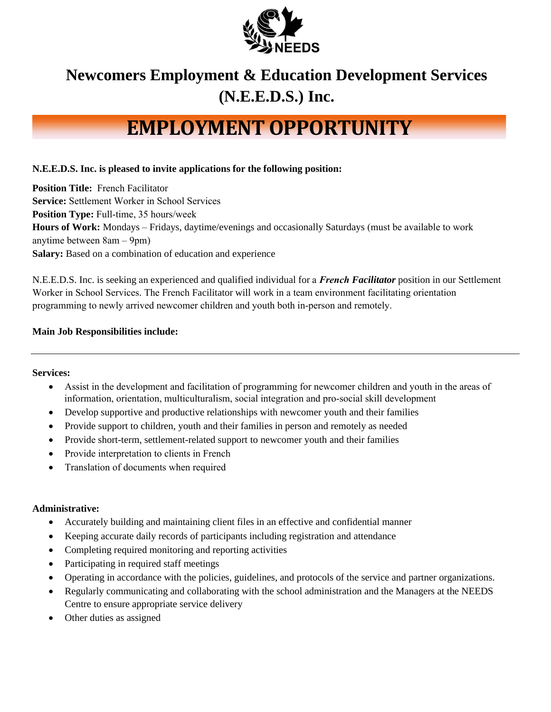

# **Newcomers Employment & Education Development Services (N.E.E.D.S.) Inc.**

# **EMPLOYMENT OPPORTUNITY**

# **N.E.E.D.S. Inc. is pleased to invite applications for the following position:**

**Position Title:** French Facilitator **Service:** Settlement Worker in School Services **Position Type:** Full-time, 35 hours/week **Hours of Work:** Mondays – Fridays, daytime/evenings and occasionally Saturdays (must be available to work anytime between 8am – 9pm) **Salary:** Based on a combination of education and experience

N.E.E.D.S. Inc. is seeking an experienced and qualified individual for a *French Facilitator* position in our Settlement Worker in School Services. The French Facilitator will work in a team environment facilitating orientation programming to newly arrived newcomer children and youth both in-person and remotely.

### **Main Job Responsibilities include:**

#### **Services:**

- Assist in the development and facilitation of programming for newcomer children and youth in the areas of information, orientation, multiculturalism, social integration and pro-social skill development
- Develop supportive and productive relationships with newcomer youth and their families
- Provide support to children, youth and their families in person and remotely as needed
- Provide short-term, settlement-related support to newcomer youth and their families
- Provide interpretation to clients in French
- Translation of documents when required

#### **Administrative:**

- Accurately building and maintaining client files in an effective and confidential manner
- Keeping accurate daily records of participants including registration and attendance
- Completing required monitoring and reporting activities
- Participating in required staff meetings
- Operating in accordance with the policies, guidelines, and protocols of the service and partner organizations.
- Regularly communicating and collaborating with the school administration and the Managers at the NEEDS Centre to ensure appropriate service delivery
- Other duties as assigned